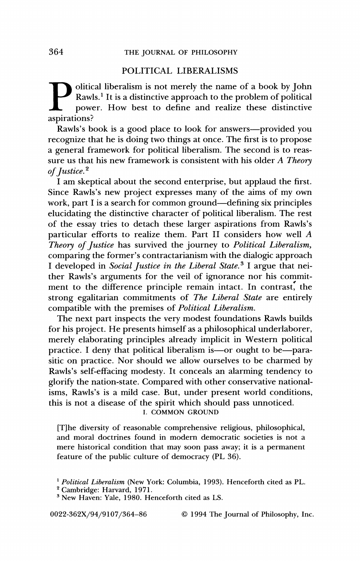### POLITICAL LIBERALISMS

**Political liberalism is not merely the name of a book by John Rawls.<sup>1</sup> It is a distinctive approach to the problem of political power. How best to define and realize these distinctive aspirations?** Rawls.<sup>1</sup> It is a distinctive approach to the problem of political power. How best to define and realize these distinctive aspirations?

Rawls's book is a good place to look for answers-provided you recognize that he is doing two things at once. The first is to propose a general framework for political liberalism. The second is to reassure us that his new framework is consistent with his older A *Theory of Justice.* \*

I am skeptical about the second enterprise, but applaud the first. Since Rawls's new project expresses many of the aims of my own work, part I is a search for common ground—defining six principles elucidating the distinctive character of political liberalism. The rest of the essay tries to detach these larger aspirations from Rawls's particular efforts to realize them. Part I1 considers how well A *Theory of Justice* has survived the journey to *Political Liberalism,*  comparing the former's contractarianism with the dialogic approach I developed in *Social Justice in the Liberal State*.<sup>3</sup> I argue that neither Rawls's arguments for the veil of ignorance nor his commitment to the difference principle remain intact. In contrast, the strong egalitarian commitments of *The Liberal State* are entirely compatible with the premises of *Political Liberalism.* 

The next part inspects the very modest foundations Rawls builds for his project. He presents himself as a philosophical underlaborer, merely elaborating principles already implicit in Western political practice. I deny that political liberalism is—or ought to be—parasitic on practice. Nor should we allow ourselves to be charmed by Rawls's self-effacing modesty. It conceals an alarming tendency to glorify the nation-state. Compared with other conservative nationalisms, Rawls's is a mild case. But, under present world conditions, this is not a disease of the spirit which should pass unnoticed. I. COMMON GROUND

[Tlhe diversity of reasonable comprehensive religious, philosophical, and moral doctrines found in modern democratic societies is not a mere historical condition that may soon pass away; it is a permanent feature of the public culture of democracy (PL 36).

0022-362X/94/9107/364-86 © 1994 The Journal of Philosophy, Inc.

<sup>&#</sup>x27; *Political Liberalism* (New York: Columbia, 1993). Henceforth cited as PL.

<sup>&</sup>lt;sup>2</sup> Cambridge: Harvard, 1971.

<sup>&</sup>lt;sup>3</sup> New Haven: Yale, 1980. Henceforth cited as LS.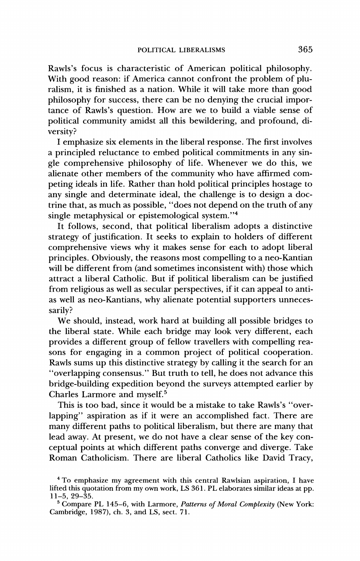Rawls's focus is characteristic of American political philosophy. With good reason: if America cannot confront the problem of pluralism, it is finished as a nation. While it will take more than good philosophy for success, there can be no denying the crucial importance of Rawls's question. How are we to build a viable sense of political community amidst all this bewildering, and profound, diversity?

I emphasize six elements in the liberal response. The first involves a principled reluctance to embed political commitments in any single comprehensive philosophy of life. Whenever we do this, we alienate other members of the community who have affirmed competing ideals in life. Rather than hold political principles hostage to any single and determinate ideal, the challenge is to design a doctrine that, as much as possible, "does not depend on the truth of any single metaphysical or epistemological system." $4$ 

It follows, second, that political liberalism adopts a distinctive strategy of justification. It seeks to explain to holders of different comprehensive views why it makes sense for each to adopt liberal principles. Obviously, the reasons most compelling to a neo-Kantian will be different from (and sometimes inconsistent with) those which attract a liberal Catholic. But if political liberalism can be justified from religious as well as secular perspectives, if it can appeal to antias well as neo-Kantians, why alienate potential supporters unnecessarily?

We should, instead, work hard at building all possible bridges to the liberal state. While each bridge may look very different, each provides a different group of fellow travellers with compelling reasons for engaging in a common project of political cooperation. Rawls sums up this distinctive strategy by calling it the search for an "overlapping consensus." But truth to tell, he does not advance this bridge-building expedition beyond the surveys attempted earlier by Charles Larmore and myself.<sup>5</sup>

This is too bad, since it would be a mistake to take Rawls's "overlapping" aspiration as if it were an accomplished fact. There are many different paths to political liberalism, but there are many that lead away. At present, we do not have a clear sense of the key conceptual points at which different paths converge and diverge. Take Roman Catholicism. There are liberal Catholics like David Tracy,

*To emphasize* my *agreement with this central Rawlsian aspiration, I have lifted this quotation from my own work,* LS 361. *PL elaborates similar ideas at* pp. 11-5, 29-35.

*Compare* PL 145-6, *with Larmore, Patterns of Moral Complexity (New York: Cambridge,* 19871, *ch.* 3, *and* LS, *sect.* 71.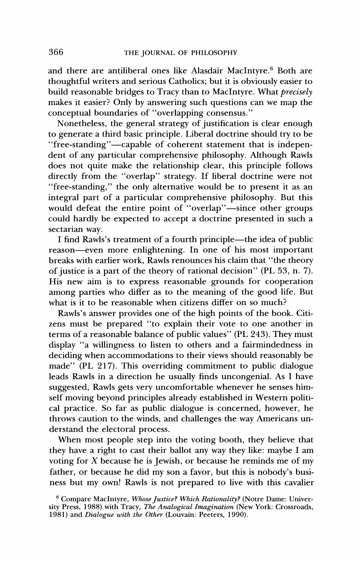and there are antiliberal ones like Alasdair MacIntyre.<sup>6</sup> Both are thoughtful writers and serious Catholics; but it is obviously easier to build reasonable bridges to Tracy than to MacIntyre. What *precisely* makes it easier? Only by answering such questions can we map the conceptual boundaries of "overlapping consensus."

Nonetheless, the general strategy of justification is clear enough to generate a third basic principle. Liberal doctrine should try to be "free-standing"—capable of coherent statement that is independent of any particular comprehensive philosophy. Although Rawls does not quite make the relationship clear, this principle follows directly from the "overlap" strategy. If liberal doctrine were not "free-standing," the only alternative would be to present it as an integral part of a particular comprehensive philosophy. But this would defeat the entire point of "overlap"-since other groups could hardly be expected to accept a doctrine presented in such a sectarian way.

I find Rawls's treatment of a fourth principle-the idea of public reason-even more enlightening. In one of his most important breaks with earlier work, Rawls renounces his claim that "the theory of justice is a part of the theory of rational decision" (PL 53, n. 7). His new aim is to express reasonable grounds for cooperation among parties who differ as to the meaning of the good life. But what is it to be reasonable when citizens differ on so much?

Rawls's answer provides one of the high points of the book. Citizens must be prepared "to explain their vote to one another in terms of a reasonable balance of public values" (PL 243). They must display "a willingness to listen to others and a fairmindedness in deciding when accommodations to their views should reasonably be made" (PL 217). This overriding commitment to public dialogue leads Rawls in a direction he usually finds uncongenial. As I have suggested, Rawls gets very uncomfortable whenever he senses himself moving beyond principles already established in Western political practice. So far as public dialogue is concerned, however, he throws caution to the winds, and challenges the way Americans understand the electoral process.

When most people step into the voting booth, they believe that they have a right to cast their ballot any way they like: maybe I am voting for  $X$  because he is Jewish, or because he reminds me of my father, or because he did my son a favor, but this is nobody's business but my own! Rawls is not prepared to live with this cavalier

Compare MacIntyre, *Whose Justice? Which Rationality?* (Notre Dame: University Press, 1988) with Tracy, *The Analogical Imagination* (New York: Crossroads, 1981) and *Dialogue with the Other* (Louvain: Peeters, 1990).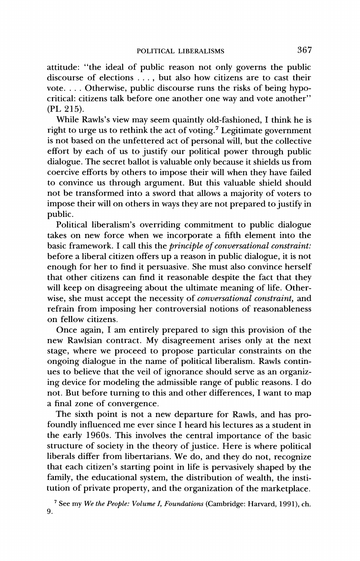attitude: "the ideal of public reason not only governs the public discourse of elections . . . , but also how citizens are to cast their vote. . . . Otherwise, public discourse runs the risks of being hypocritical: citizens talk before one another one way and vote another" (PL 215).

While Rawls's view may seem quaintly old-fashioned, I think he is right to urge us to rethink the act of voting.' Legitimate government is not based on the unfettered act of personal will, but the collective effort by each of us to justify our political power through public dialogue. The secret ballot is valuable only because it shields us from coercive efforts by others to impose their will when they have failed to convince us through argument. But this valuable shield should not be transformed into a sword that allows a majority of voters to impose their will on others in ways they are not prepared to justify in public.

Political liberalism's overriding commitment to public dialogue takes on new force when we incorporate a fifth element into the basic framework. I call this the *principle of conversational constraint:*  before a liberal citizen offers up a reason in public dialogue, it is not enough for her to find it persuasive. She must also convince herself that other citizens can find it reasonable despite the fact that they will keep on disagreeing about the ultimate meaning of life. Otherwise, she must accept the necessity of *conversational constraint,* and refrain from imposing her controversial notions of reasonableness on fellow citizens.

Once again, I am entirely prepared to sign this provision of the new Rawlsian contract. My disagreement arises only at the next stage, where we proceed to propose particular constraints on the ongoing dialogue in the name of political liberalism. Rawls continues to believe that the veil of ignorance should serve as an organizing device for modeling the admissible range of public reasons. I do not. But before turning to this and other differences, I want to map a final zone of convergence.

The sixth point is not a new departure for Rawls, and has profoundly influenced me ever since I heard his lectures as a student in the early 1960s. This involves the central importance of the basic structure of society in the theory of justice. Here is where political liberals differ from libertarians. We do, and they do not, recognize that each citizen's starting point in life is pervasively shaped by the family, the educational system, the distribution of wealth, the institution of private property, and the organization of the marketplace.

'*See my We the People: Volume I, Foundations* (Cambridge: Harvard, 1991), ch. 9.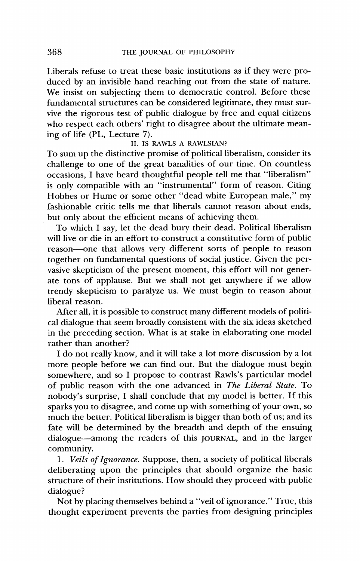Liberals refuse to treat these basic institutions as if they were produced by an invisible hand reaching out from the state of nature. We insist on subjecting them to democratic control. Before these fundamental structures can be considered legtimate, they must survive the rigorous test of public dialogue by free and equal citizens who respect each others' right to disagree about the ultimate meaning of life (PL, Lecture 7).

### 11. IS RAWLS A RAWLSIAN?

To sum up the distinctive promise of political liberalism, consider its challenge to one of the great banalities of our time. On countless occasions, I have heard thoughtful people tell me that "liberalism" is only compatible with an "instrumental" form of reason. Citing Hobbes or Hume or some other "dead white European male," my fashionable critic tells me that liberals cannot reason about ends, but only about the efficient means of achieving them.

To which I say, let the dead bury their dead. Political liberalism will live or die in an effort to construct a constitutive form of public reason-one that allows very different sorts of people to reason together on fundamental questions of social justice. Given the pervasive skepticism of the present moment, this effort will not generate tons of applause. But we shall not get anywhere if we allow trendy skepticism to paralyze us. We must begin to reason about liberal reason.

After all, it is possible to construct many different models of political dialogue that seem broadly consistent with the six ideas sketched in the preceding section. What is at stake in elaborating one model rather than another?

I do not really know, and it will take a lot more discussion by a lot more people before we can find out. But the dialogue must begin somewhere, and so I propose to contrast Rawls's particular model of public reason with the one advanced in *The Liberal State.* To nobody's surprise, I shall conclude that my model is better. If this sparks you to disagree, and come up with something of your own, so much the better. Political liberalism is bigger than both of us; and its fate will be determined by the breadth and depth of the ensuing dialogue-among the readers of this JOURNAL, and in the larger community.

1. *Veils of Ignorance*. Suppose, then, a society of political liberals deliberating upon the principles that should organize the basic structure of their institutions. How should they proceed with public dialogue?

Not by placing themselves behind a "veil of ignorance." True, this thought experiment prevents the parties from designing principles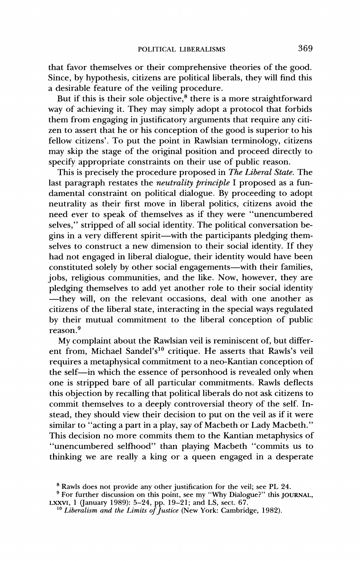that favor themselves or their comprehensive theories of the good. Since, by hypothesis, citizens are political liberals, they will find this a desirable feature of the veiling procedure.

But if this is their sole objective,<sup>8</sup> there is a more straightforward way of achieving it. They may simply adopt a protocol that forbids them from engaging in justificatory arguments that require any citizen to assert that he or his conception of the good is superior to his fellow citizens'. To put the point in Rawlsian terminology, citizens may skip the stage of the original position and proceed directly to specify appropriate constraints on their use of public reason.

This is precisely the procedure proposed in *The Liberal State.* The last paragraph restates the *neutrality principle* I proposed as a fundamental constraint on political dialogue. By proceeding to adopt neutrality as their first move in liberal politics, citizens avoid the need ever to speak of themselves as if they were "unencumbered selves," stripped of all social identity. The political conversation begins in a very different spirit-with the participants pledging themselves to construct a new dimension to their social identity. If they had not engaged in liberal dialogue, their identity would have been constituted solely by other social engagements-with their families, jobs, religious communities, and the like. Now, however, they are pledging themselves to add yet another role to their social identity -they will, on the relevant occasions, deal with one another as citizens of the liberal state, interacting in the special ways regulated by their mutual commitment to the liberal conception of public reason.<sup>9</sup>

My complaint about the Rawlsian veil is reminiscent of, but different from, Michael Sandel's<sup>10</sup> critique. He asserts that Rawls's veil requires a metaphysical commitment to a neo-Kantian conception of the self-in which the essence of personhood is revealed only when one is stripped bare of all particular commitments. Rawls deflects this objection by recalling that political liberals do not ask citizens to commit themselves to a deeply controversial theory of the self. Instead, they should view their decision to put on the veil as if it were similar to "acting a part in a play, say of Macbeth or Lady Macbeth." This decision no more commits them to the Kantian metaphysics of "unencumbered selfhood" than playing Macbeth "commits us to thinking we are really a king or a queen engaged in a desperate

<sup>&</sup>lt;sup>8</sup> Rawls does not provide any other justification for the veil; see PL 24.

For further discussion on this point, see my "Why Dialogue?" this JOURNAL, LXXVI, 1 (January 1989): 5-24, pp. 19-21; and LS, sect. 67.

<sup>&</sup>lt;sup>10</sup> Liberalism and the Limits of Justice (New York: Cambridge, 1982).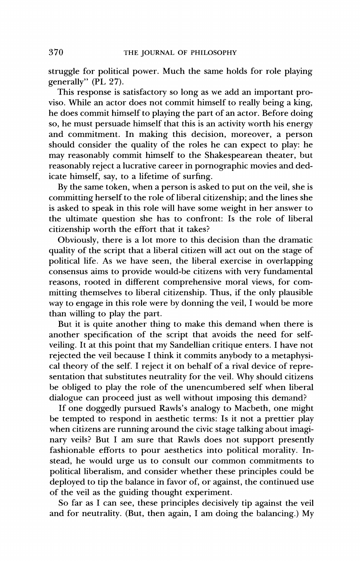struggle for political power. Much the same holds for role playing generally" (PL 27).

This response is satisfactory so long as we add an important proviso. While an actor does not commit himself to really being a king, he does commit himself to playing the part of an actor. Before doing so, he must persuade himself that this is an activity worth his energy and commitment. In making this decision, moreover, a person should consider the quality of the roles he can expect to play: he may reasonably commit himself to the Shakespearean theater, but reasonably reject a lucrative career in pornographic movies and dedicate himself, say, to a lifetime of surfing.

By the same token, when a person is asked to put on the veil, she is committing herself to the role of liberal citizenship; and the lines she is asked to speak in this role will have some weight in her answer to the ultimate question she has to confront: Is the role of liberal citizenship worth the effort that it takes?

Obviously, there is a lot more to this decision than the dramatic quality of the script that a liberal citizen will act out on the stage of political life. As we have seen, the liberal exercise in overlapping consensus aims to provide would-be citizens with very fundamental reasons, rooted in different comprehensive moral views, for committing themselves to liberal citizenship. Thus, if the only plausible way to engage in this role were by donning the veil, I would be more than willing to play the part.

But it is quite another thing to make this demand when there is another specification of the script that avoids the need for selfveiling. It at this point that my Sandellian critique enters. I have not rejected the veil because I think it commits anybody to a metaphysical theory of the self. I reject it on behalf of a rival device of representation that substitutes neutrality for the veil. Why should citizens be obliged to play the role of the unencumbered self when liberal dialogue can proceed just as well without imposing this demand?

If one doggedly pursued Rawls's analogy to Macbeth, one might be tempted to respond in aesthetic terms: Is it not a prettier play when citizens are running around the civic stage talking about imaginary veils? But I am sure that Rawls does not support presently fashionable efforts to pour aesthetics into political morality. Instead, he would urge us to consult our common commitments to political liberalism, and consider whether these principles could be deployed to tip the balance in favor of, or against, the continued use of the veil as the guiding thought experiment.

So far as I can see, these principles decisively tip against the veil and for neutrality. (But, then again, I am doing the balancing.) My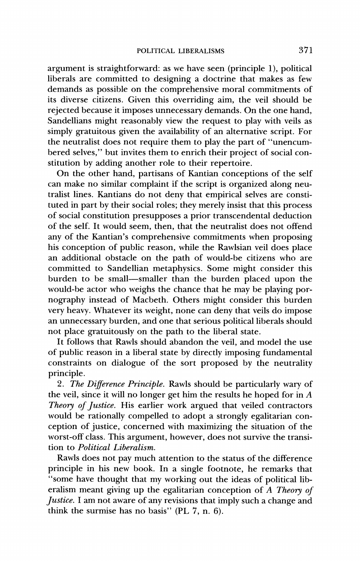argument is straightforward: as we have seen (principle I), political liberals are committed to designing a doctrine that makes as few demands as possible on the comprehensive moral commitments of its diverse citizens. Given this overriding aim, the veil should be rejected because it imposes unnecessary demands. On the one hand, Sandellians might reasonably view the request to play with veils as simply gratuitous given the availability of an alternative script. For the neutralist does not require them to play the part of "unencumbered selves," but invites them to enrich their project of social constitution by adding another role to their repertoire.

On the other hand, partisans of Kantian conceptions of the self can make no similar complaint if the script is organized along neutralist lines. Kantians do not deny that empirical selves are constituted in part by their social roles; they merely insist that this process of social constitution presupposes a prior transcendental deduction of the self. It would seem, then, that the neutralist does not offend any of the Kantian's comprehensive commitments when proposing his conception of public reason, while the Rawlsian veil does place an additional obstacle on the path of would-be citizens who are committed to Sandellian metaphysics. Some might consider this burden to be small—smaller than the burden placed upon the would-be actor who weighs the chance that he may be playing pornography instead of Macbeth. Others might consider this burden very heavy. Whatever its weight, none can deny that veils do impose an unnecessary burden, and one that serious political liberals should not place gratuitously on the path to the liberal state.

It follows that Rawls should abandon the veil, and model the use of public reason in a liberal state by directly imposing fundamental constraints on dialogue of the sort proposed by the neutrality principle.

2. *The Difference Principle.* Rawls should be particularly wary of the veil, since it will no longer get him the results he hoped for in  $A$ *Theory of Justice.* His earlier work argued that veiled contractors would be rationally compelled to adopt a strongly egalitarian conception of justice, concerned with maximizing the situation of the worst-off class. This argument, however, does not survive the transition to *Political Liberalism.* 

Rawls does not pay much attention to the status of the difference principle in his new book. In a single footnote, he remarks that "some have thought that my working out the ideas of political liberalism meant giving up the egalitarian conception of A *Theory of Justice.* I am not aware of any revisions that imply such a change and think the surmise has no basis" (PL *7 ,* n. 6).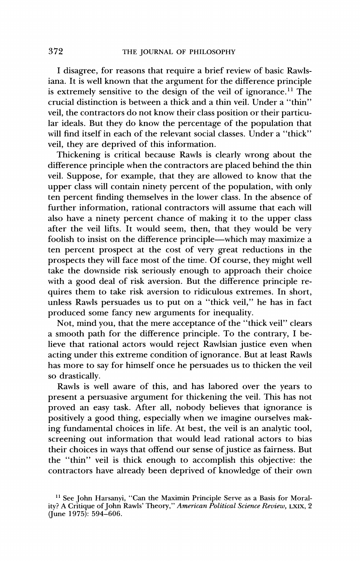I disagree, for reasons that require a brief review of basic Rawlsiana. It is well known that the argument for the difference principle is extremely sensitive to the design of the veil of ignorance.<sup>11</sup> The crucial distinction is between a thick and a thin veil. Under a "thin" veil, the contractors do not know their class position or their particular ideals. But they do know the percentage of the population that will find itself in each of the relevant social classes. Under a "thick" veil, they are deprived of this information.

Thickening is critical because Rawls is clearly wrong about the difference principle when the contractors are placed behind the thin veil. Suppose, for example, that they are allowed to know that the upper class will contain ninety percent of the population, with only ten percent finding themselves in the lower class. In the absence of further information, rational contractors will assume that each will also have a ninety percent chance of making it to the upper class after the veil lifts. It would seem, then, that they would be very foolish to insist on the difference principle—which may maximize a ten percent prospect at the cost of very great reductions in the prospects they will face most of the time. Of course, they might well take the downside risk seriously enough to approach their choice with a good deal of risk aversion. But the difference principle requires them to take risk aversion to ridiculous extremes. In short, unless Rawls persuades us to put on a "thick veil," he has in fact produced some fancy new arguments for inequality.

Not, mind you, that the mere acceptance of the "thick veil" clears a smooth path for the difference principle. To the contrary, I believe that rational actors would reject Rawlsian justice even when acting under this extreme condition of ignorance. But at least Rawls has more to say for himself once he persuades us to thicken the veil so drastically.

Rawls is well aware of this, and has labored over the years to present a persuasive argument for thickening the veil. This has not proved an easy task. After all, nobody believes that ignorance is positively a good thing, especially when we imagine ourselves making fundamental choices in life. At best, the veil is an analytic tool, screening out information that would lead rational actors to bias their choices in ways that offend our sense of justice as fairness. But the "thin" veil is thick enough to accomplish this objective: the contractors have already been deprived of knowledge of their own

**I'** See John Harsanyi, "Can the Maximin Principle Serve as a Basis for Morality?A Critique of John Rawls' Theory," *American Political Science Review,* LXIX, *2*   $(june 1975): 594-606.$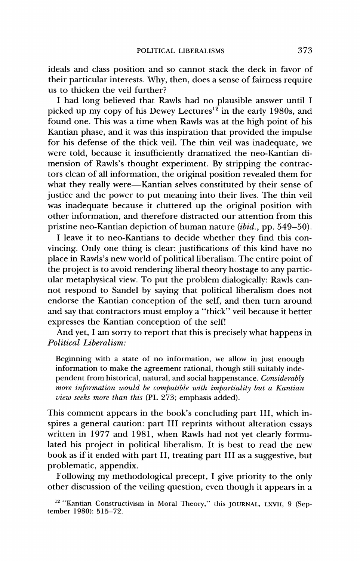ideals and class position and so cannot stack the deck in favor of their particular interests. Why, then, does a sense of fairness require us to thicken the veil further?

I had long believed that Rawls had no plausible answer until I picked up my copy of his Dewey Lectures<sup>12</sup> in the early 1980s, and found one. This was a time when Rawls was at the high point of his Kantian phase, and it was this inspiration that provided the impulse for his defense of the thick veil. The thin veil was inadequate, we were told, because it insufficiently dramatized the neo-Kantian dimension of Rawls's thought experiment. By stripping the contractors clean of all information, the original position revealed them for what they really were—Kantian selves constituted by their sense of justice and the power to put meaning into their lives. The thin veil was inadequate because it cluttered up the original position with other information, and therefore distracted our attention from this pristine neo-Kantian depiction of human nature *(ibid.,* pp. 549-50).

I leave it to neo-Kantians to decide whether they find this convincing. Only one thing is clear: justifications of this kind have no place in Rawls's new world of political liberalism. The entire point of the project is to avoid rendering liberal theory hostage to any particular metaphysical view. To put the problem dialogically: Rawls cannot respond to Sandel by saying that political liberalism does not endorse the Kantian conception of the self, and then turn around and say that contractors must employ a "thick" veil because it better expresses the Kantian conception of the self!

And yet, I am sorry to report that this is precisely what happens in *Political Liberalism:* 

Beginning with a state of no information, we allow in just enough information to make the agreement rational, though still suitably independent from historical, natural, and social happenstance. *Considerably more information would be compatible with impartiality but a Kantian view seeks more than this (PL 273;* emphasis added).

This comment appears in the book's concluding part 111, which inspires a general caution: part I11 reprints without alteration essays written in 1977 and 1981, when Rawls had not yet clearly formulated his project in political liberalism. It is best to read the new book as if it ended with part 11, treating part I11 as a suggestive, but problematic, appendix.

Following my methodological precept, I give priority to the only other discussion of the veiling question, even though it appears in a

**l2** "Kantian Constructivism in Moral Theory," this JOURNAL, LXVII, 9 (September 1980): 51*5-72.*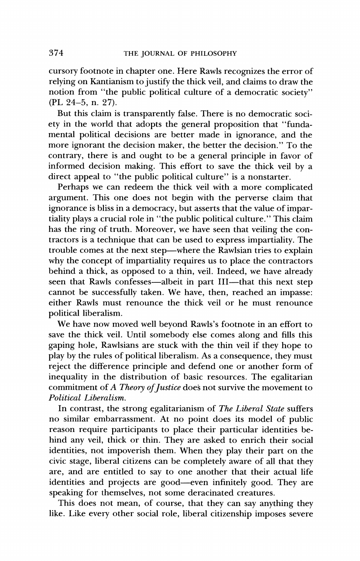cursory footnote in chapter one. Here Rawls recognizes the error of relying on Kantianism to justify the thick veil, and claims to draw the notion from "the public political culture of a democratic society" (PL 24-5, n. 27).

But this claim is transparently false. There is no democratic society in the world that adopts the general proposition that "fundamental political decisions are better made in ignorance, and the more ignorant the decision maker, the better the decision." To the contrary, there is and ought to be a general principle in favor of informed decision making. This effort to save the thick veil by a direct appeal to "the public political culture" is a nonstarter.

Perhaps we can redeem the thick veil with a more complicated argument. This one does not begin with the perverse claim that ignorance is bliss in a democracy, but asserts that the value of impartiality plays a crucial role in "the public political culture." This claim has the ring of truth. Moreover, we have seen that veiling the contractors is a technique that can be used to express impartiality. The trouble comes at the next step-where the Rawlsian tries to explain why the concept of impartiality requires us to place the contractors behind a thick, as opposed to a thin, veil. Indeed, we have already seen that Rawls confesses—albeit in part III—that this next step cannot be successfully taken. We have, then, reached an impasse: either Rawls must renounce the thick veil or he must renounce political liberalism.

We have now moved well beyond Rawls's footnote in an effort to save the thick veil. Until somebody else comes along and fills this gaping hole, Rawlsians are stuck with the thin veil if they hope to play by the rules of political liberalism. As a consequence, they must reject the difference principle and defend one or another form of inequality in the distribution of basic resources. The egalitarian commitment of *A Theory of Justice* does not survive the movement to *Political Liberalism.* 

In contrast, the strong egalitarianism of *The Liberal State* suffers no similar embarrassment. At no point does its model of public reason require participants to place their particular identities behind any veil, thick or thin. They are asked to enrich their social identities, not impoverish them. When they play their part on the civic stage, liberal citizens can be completely aware of all that they are, and are entitled to say to one another that their actual life identities and projects are good—even infinitely good. They are speaking for themselves, not some deracinated creatures.

This does not mean, of course, that they can say anything they like. Like every other social role, liberal citizenship imposes severe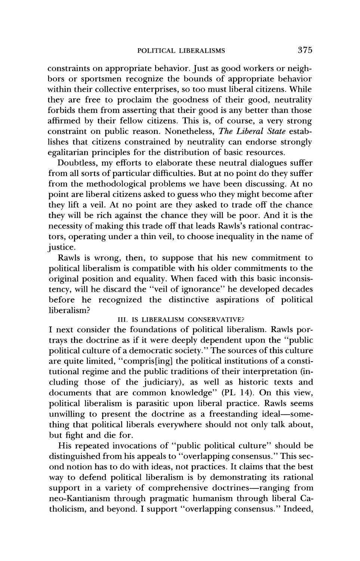constraints on appropriate behavior. Just as good workers or neighbors or sportsmen recognize the bounds of appropriate behavior within their collective enterprises, so too must liberal citizens. While they are free to proclaim the goodness of their good, neutrality forbids them from asserting that their good is any better than those affirmed by their fellow citizens. This is, of course, a very strong constraint on public reason. Nonetheless, *The Liberal State* establishes that citizens constrained by neutrality can endorse strongly egalitarian principles for the distribution of basic resources.

Doubtless, my efforts to elaborate these neutral dialogues suffer from all sorts of particular difficulties. But at no point do they suffer from the methodological problems we have been discussing. At no point are liberal citizens asked to guess who they might become after they lift a veil. At no point are they asked to trade off the chance they will be rich against the chance they will be poor. And it is the necessity of making this trade off that leads Rawls's rational contractors, operating under a thin veil, to choose inequality in the name of justice.

Rawls is wrong, then, to suppose that his new commitment to political liberalism is compatible with his older commitments to the original position and equality. When faced with this basic inconsistency, will he discard the "veil of ignorance" he developed decades before he recognized the distinctive aspirations of political liberalism?

#### 111. IS LIBERALISM CONSERVATIVE?

I next consider the foundations of political liberalism. Rawls portrays the doctrine as if it were deeply dependent upon the "public political culture of a democratic society." The sources of this culture are quite limited, "compris[ing] the political institutions of a constitutional regime and the public traditions of their interpretation (including those of the judiciary), as well as historic texts and documents that are common knowledge" (PL 14). On this view, political liberalism is parasitic upon liberal practice. Rawls seems unwilling to present the doctrine as a freestanding ideal-something that political liberals everywhere should not only talk about, but fight and die for.

His repeated invocations of "public political culture" should be distinguished from his appeals to "overlapping consensus." This second notion has to do with ideas, not practices. It claims that the best way to defend political liberalism is by demonstrating its rational support in a variety of comprehensive doctrines-ranging from neo-Kantianism through pragmatic humanism through liberal Catholicism, and beyond. I support "overlapping consensus." Indeed,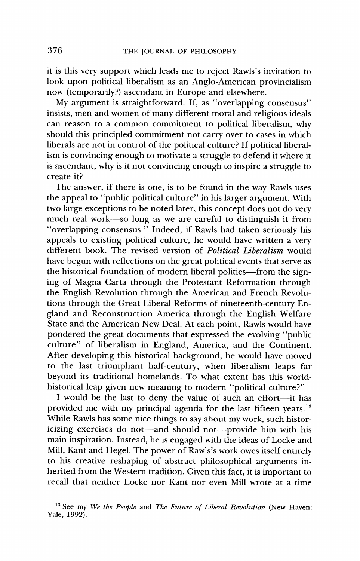it is this very support which leads me to reject Rawls's invitation to look upon political liberalism as an Anglo-American provincialism now (temporarily?) ascendant in Europe and elsewhere.

My argument is straightforward. If, as "overlapping consensus" insists, men and women of many different moral and religious ideals can reason to a common commitment to political liberalism, why should this principled commitment not carry over to cases in which liberals are not in control of the political culture? If political liberalism is convincing enough to motivate a struggle to defend it where it is ascendant, why is it not convincing enough to inspire a struggle to create it?

The answer, if there is one, is to be found in the way Rawls uses the appeal to "public political culture" in his larger argument. With two large exceptions to be noted later, this concept does not do very much real work-so long as we are careful to distinguish it from "overlapping consensus." Indeed, if Rawls had taken seriously his appeals to existing political culture, he would have written a very different book. The revised version of **Political Liberalism** would have begun with reflections on the great political events that serve as the historical foundation of modern liberal polities-from the signing of Magna Carta through the Protestant Reformation through the English Revolution through the American and French Revolutions through the Great Liberal Reforms of nineteenth-century England and Reconstruction America through the English Welfare State and the American New Deal. At each point, Rawls would have pondered the great documents that expressed the evolving "public culture" of liberalism in England, America, and the Continent. After developing this historical background, he would have moved to the last triumphant half-century, when liberalism leaps far beyond its traditional homelands. To what extent has this worldhistorical leap given new meaning to modern "political culture?"

I would be the last to deny the value of such an effort-it has provided me with my principal agenda for the last fifteen years.<sup>13</sup> While Rawls has some nice things to say about my work, such historicizing exercises do not-and should not-provide him with his main inspiration. Instead, he is engaged with the ideas of Locke and Mill, Kant and Hegel. The power of Rawls's work owes itself entirely to his creative reshaping of abstract philosophical arguments inherited from the Western tradition. Given this fact, it is important to recall that neither Locke nor Kant nor even Mill wrote at a time

**l3** See my *We the People* and *The Future of Liberal Revolution* (New Haven: Yale, 1992).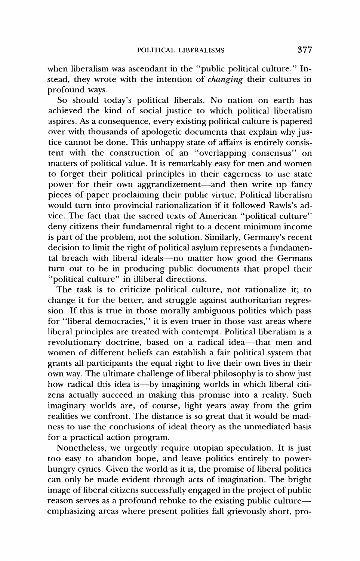when liberalism was ascendant in the "public political culture." Instead, they wrote with the intention of *changing* their cultures in profound ways.

So should today's political liberals. No nation on earth has achieved the kind of social justice to which political liberalism aspires. As a consequence, every existing political culture is papered over with thousands of apologetic documents that explain why justice cannot be done. This unhappy state of affairs is entirely consistent with the construction of an "overlapping consensus" on matters of political value. It is remarkably easy for men and women to forget their political principles in their eagerness to use state power for their own aggrandizement—and then write up fancy pieces of paper proclaiming their public virtue. Political liberalism would turn into provincial rationalization if it followed Rawls's advice. The fact that the sacred texts of American "political culture" deny citizens their fundamental right to a decent minimum income is part of the problem, not the solution. Similarly, Germany's recent decision to limit the right of political asylum represents a fundamental breach with liberal ideals-no matter how good the Germans turn out to be in producing public documents that propel their "political culture" in illiberal directions.

The task is to criticize political culture, not rationalize it; to change it for the better, and struggle against authoritarian regression. If this is true in those morally ambiguous polities which pass for "liberal democracies," it is even truer in those vast areas where liberal principles are treated with contempt. Political liberalism is a revolutionary doctrine, based on a radical idea-that men and women of different beliefs can establish a fair political system that grants all participants the equal right to live their own lives in their own way. The ultimate challenge of liberal philosophy is to show just how radical this idea is—by imagining worlds in which liberal citizens actually succeed in making this promise into a reality. Such imaginary worlds are, of course, light years away from the grim realities we confront. The distance is so great that it would be madness to use the conclusions of ideal theory as the unmediated basis for a practical action program.

Nonetheless, we urgently require utopian speculation. It is just too easy to abandon hope, and leave politics entirely to powerhungry cynics. Given the world as it is, the promise of liberal politics can only be made evident through acts of imagination. The bright image of liberal citizens successfully engaged in the project of public reason serves as a profound rebuke to the existing public culture emphasizing areas where present polities fall grievously short, pro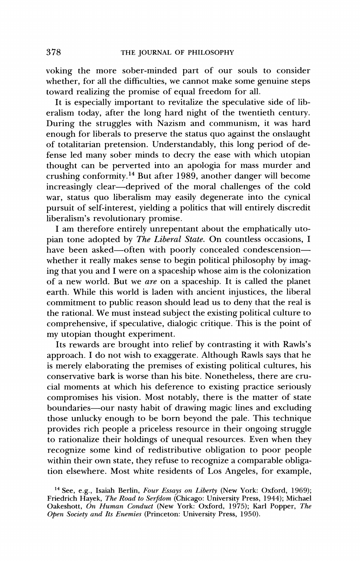voking the more sober-minded part of our souls to consider whether, for all the difficulties, we cannot make some genuine steps toward realizing the promise of equal freedom for all.

It is especially important to revitalize the speculative side of liberalism today, after the long hard night of the twentieth century. During the struggles with Nazism and communism, it was hard enough for liberals to preserve the status quo against the onslaught of totalitarian pretension. Understandably, this long period of defense led many sober minds to decry the ease with which utopian thought can be perverted into an apologia for mass murder and crushing conformity.14 But after 1989, another danger will become increasingly clear-deprived of the moral challenges of the cold war, status quo liberalism may easily degenerate into the cynical pursuit of self-interest, yielding a politics that will entirely discredit liberalism's revolutionary promise.

I am therefore entirely unrepentant about the emphatically utopian tone adopted by *The Liberal State.* On countless occasions, I have been asked-often with poorly concealed condescensionwhether it really makes sense to begin political philosophy by imaging that you and I were on a spaceship whose aim is the colonization of a new world. But we *are* on a spaceship. It is called the planet earth. While this world is laden with ancient injustices, the liberal commitment to public reason should lead us to deny that the real is the rational. We must instead subject the existing political culture to comprehensive, if speculative, dialogic critique. This is the point of my utopian thought experiment.

Its rewards are brought into relief by contrasting it with Rawls's approach. I do not wish to exaggerate. Although Rawls says that he is merely elaborating the premises of existing political cultures, his conservative bark is worse than his bite. Nonetheless, there are crucial moments at which his deference to existing practice seriously compromises his vision. Most notably, there is the matter of state boundaries-our nasty habit of drawing magic lines and excluding those unlucky enough to be born beyond the pale. This technique provides rich people a priceless resource in their ongoing struggle to rationalize their holdings of unequal resources. Even when they recognize some kind of redistributive obligation to poor people within their own state, they refuse to recognize a comparable obligation elsewhere. Most white residents of Los Angeles, for example,

**l4** See, e.g., Isaiah Berlin, *Four Essays on Liberty* (New York: Oxford, 1969); Friedrich Hayek, *The Road to Serfdom* (Chicago: University Press, 1944); Michael Oakeshott, *On Human Conduct* (New York: Oxford, 1975); Karl Popper, *The Open Society and Its Enemies* (Princeton: University Press, 1950).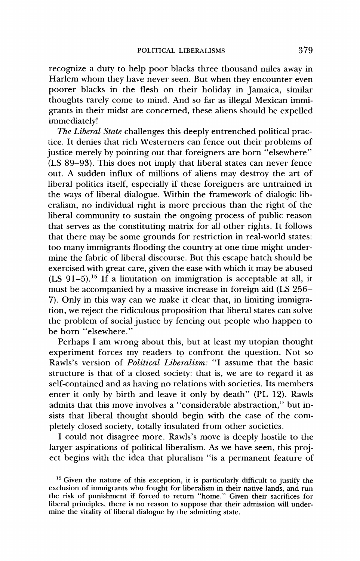recognize a duty to help poor blacks three thousand miles away in Harlem whom they have never seen. But when they encounter even poorer blacks in the flesh on their holiday in Jamaica, similar thoughts rarely come to mind. And so far as illegal Mexican immigrants in their midst are concerned, these aliens should be expelled immediately!

*The Liberal State* challenges this deeply entrenched political practice. It denies that rich Westerners can fence out their problems of justice merely by pointing out that foreigners are born "elsewhere" (LS 89-93). This does not imply that liberal states can never fence out. A sudden influx of millions of aliens may destroy the art of liberal politics itself, especially if these foreigners are untrained in the ways of liberal dialogue. Within the framework of dialogic liberalism, no individual right is more precious than the right of the liberal community to sustain the ongoing process of public reason that serves as the constituting matrix for all other rights. It follows that there may be some grounds for restriction in real-world states: too many immigrants flooding the country at one time might undermine the fabric of liberal discourse. But this escape hatch should be exercised with great care, given the ease with which it may be abused  $(LS 91-5).$ <sup>15</sup> If a limitation on immigration is acceptable at all, it must be accompanied by a massive increase in foreign aid (LS 256- 7). Only in this way can we make it clear that, in limiting immigration, we reject the ridiculous proposition that liberal states can solve the problem of social justice by fencing out people who happen to be born "elsewhere."

Perhaps I am wrong about this, but at least my utopian thought experiment forces my readers to confront the question. Not so Rawls's version of *Political Liberalism:* "I assume that the basic structure is that of a closed society: that is, we are to regard it as self-contained and as having no relations with societies. Its members enter it only by birth and leave it only by death" (PL 12). Rawls admits that this move involves a "considerable abstraction," but insists that liberal thought should begin with the case of the completely closed society, totally insulated from other societies.

I could not disagree more. Rawls's move is deeply hostile to the larger aspirations of political liberalism. As we have seen, this project begins with the idea that pluralism "is a permanent feature of

**l5** Given the nature of this exception, it is particularly difficult to justify the exclusion of immigrants who fought for liberalism in their native lands, and run the risk of punishment if forced to return "home." Given their sacrifices for liberal principles, there is no reason to suppose that their admission will undermine the vitality of liberal dialogue by the admitting state.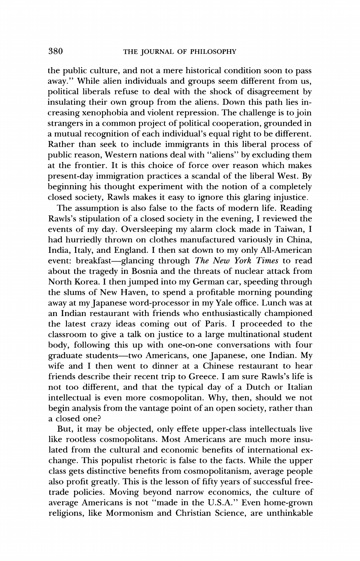the public culture, and not a mere historical condition soon to pass away." While alien individuals and groups seem different from us, political liberals refuse to deal with the shock of disagreement by insulating their own group from the aliens. Down this path lies increasing xenophobia and violent repression. The challenge is to join strangers in a common project of political cooperation, grounded in a mutual recognition of each individual's equal right to be different. Rather than seek to include immigrants in this liberal process of public reason, Western nations deal with "aliens" by excluding them at the frontier. It is this choice of force over reason which makes present-day immigration practices a scandal of the liberal West. By beginning his thought experiment with the notion of a completely closed society, Rawls makes it easy to ignore this glaring injustice.

The assumption is also false to the facts of modern life. Reading Rawls's stipulation of a closed society in the evening, I reviewed the events of my day. Oversleeping my alarm clock made in Taiwan, I had hurriedly thrown on clothes manufactured variously in China, India, Italy, and England. I then sat down to my only All-American event: breakfast—glancing through *The New York Times* to read about the tragedy in Bosnia and the threats of nuclear attack from North Korea. I then jumped into my German car, speeding through the slums of New Haven, to spend a profitable morning pounding away at my Japanese word-processor in my Yale office. Lunch was at an Indian restaurant with friends who enthusiastically championed the latest crazy ideas coming out of Paris. I proceeded to the classroom to give a talk on justice to a large multinational student body, following this up with one-on-one conversations with four graduate students-two Americans, one Japanese, one Indian. My wife and I then went to dinner at a Chinese restaurant to hear friends describe their recent trip to Greece. I am sure Rawls's life is not too different, and that the typical day of a Dutch or Italian intellectual is even more cosmopolitan. Why, then, should we not begin analysis from the vantage point of an open society, rather than a closed one?

But, it may be objected, only effete upper-class intellectuals live like rootless cosmopolitans. Most Americans are much more insulated from the cultural and economic benefits of international exchange. This populist rhetoric is false to the facts. While the upper class gets distinctive benefits from cosmopolitanism, average people also profit greatly. This is the lesson of fifty years of successful freetrade policies. Moving beyond narrow economics, the culture of average Americans is not "made in the U.S.A." Even home-grown religions, like Mormonism and Christian Science, are unthinkable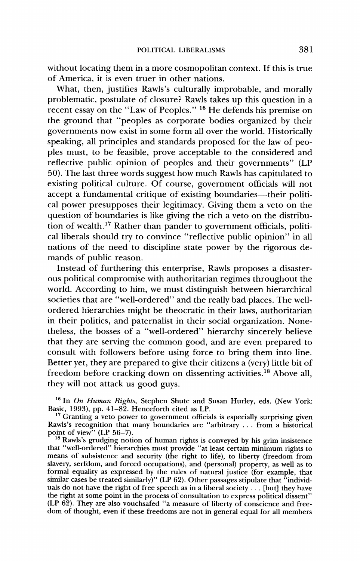without locating them in a more cosmopolitan context. If this is true of America, it is even truer in other nations.

What, then, justifies Rawls's culturally improbable, and morally problematic, postulate of closure? Rawls takes up this question in a recent essay on the "Law of Peoples." **l6** He defends his premise on the ground that "peoples as corporate bodies organized by their governments now exist in some form all over the world. Historically speaking, all principles and standards proposed for the law of peoples must, to be feasible, prove acceptable to the considered and reflective public opinion of peoples and their governments" (LP 50).The last three words suggest how much Rawls has capitulated to existing political culture. Of course, government officials will not accept a fundamental critique of existing boundaries—their political power presupposes their legitimacy. Giving them a veto on the question of boundaries is like giving the rich a veto on the distribution of wealth.<sup>17</sup> Rather than pander to government officials, political liberals should try to convince "reflective public opinion" in all nations of the need to discipline state power by the rigorous demands of public reason.

Instead of furthering this enterprise, Rawls proposes a disasterous political compromise with authoritarian regimes throughout the world. According to him, we must distinguish between hierarchical societies that are "well-ordered" and the really bad places. The wellordered hierarchies might be theocratic in their laws, authoritarian in their politics, and paternalist in their social organization. Nonetheless, the bosses of a "well-ordered" hierarchy sincerely believe that they are serving the common good, and are even prepared to consult with followers before using force to bring them into line. Better yet, they are prepared to give their citizens a (very) little bit of freedom before cracking down on dissenting activities.<sup>18</sup> Above all, they will not attack us good guys.

**l6** In On *Human* Rights, Stephen Shute and Susan Hurley, eds. (New York: Basic, 1993), pp. 41-82. Henceforth cited as LP.

<sup>17</sup> Granting a veto power to government officials is especially surprising given Rawls's recognition that many boundaries are "arbitrary . . . from a historical point of view" (LP  $56-7$ ).

**Is** Rawls's grudging notion of human rights is conveyed by his grim insistence that "well-ordered" hierarchies must provide "at least certain minimum rights to means of subsistence and security (the right to life), to liberty (freedom from slavery, serfdom, and forced occupations), and (personal) property, as well as to formal equality as expressed by the rules of natural justice (for example, that similar cases be treated similarly)" (LP 62). Other passages stipulate that "individuals do not have the right of free speech as in a liberal society. .. [but] they have the right at some point in the process of consultation to express political dissent" (LP 62). They are also vouchsafed "a measure of liberty of conscience and freedom of thought, even if these freedoms are not in general equal for all members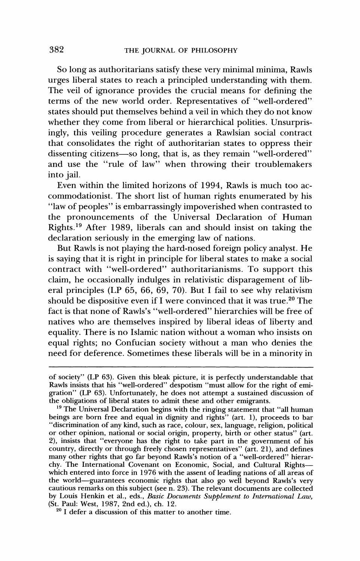So long as authoritarians satisfy these very minimal minima, Rawls urges liberal states to reach a principled understanding with them. The veil of ignorance provides the crucial means for defining the terms of the new world order. Representatives of "well-ordered" states should put themselves behind a veil in which they do not know whether they come from liberal or hierarchical polities. Unsurprisingly, this veiling procedure generates a Rawlsian social contract that consolidates the right of authoritarian states to oppress their dissenting citizens-so long, that is, as they remain "well-ordered" and use the "rule of law" when throwing their troublemakers into jail.

Even within the limited horizons of 1994, Rawls is much too accommodationist. The short list of human rights enumerated by his "law of peoples" is embarrassingly impoverished when contrasted to the pronouncements of the Universal Declaration of Human Rights.lg After 1989, liberals can and should insist on taking the declaration seriously in the emerging law of nations.

But Rawls is not playing the hard-nosed foreign policy analyst. He is saying that it is right in principle for liberal states to make a social contract with "well-ordered" authoritarianisms. To support this claim, he occasionally indulges in relativistic disparagement of liberal principles (LP 65, 66, 69, 70). But I fail to see why relativism should be dispositive even if I were convinced that it was true. $20$  The fact is that none of Rawls's "well-ordered" hierarchies will be free of natives who are themselves inspired by liberal ideas of liberty and equality. There is no Islamic nation without a woman who insists on equal rights; no Confucian society without a man who denies the need for deference. Sometimes these liberals will be in a minority in

**20** I defer a discussion of this matter to another time.

of society" (LP 63). Given this bleak picture, it is perfectly understandable that Rawls insists that his "well-ordered" despotism "must allow for the right of emigration" (LP 63). Unfortunately, he does not attempt a sustained discussion of the obligations of liberal states to admit these and other emigrants.

<sup>&</sup>lt;sup>19</sup> The Universal Declaration begins with the ringing statement that "all human" beings are born free and equal in dignity and rights" (art. 1), proceeds to bar "discrimination of any kind, such as race, colour, sex, language, religion, political or other opinion, national or social origin, property, birth or other status" (art. 2), insists that "everyone has the right to take part in the government of his country, directly or through freely chosen representatives" (art. 21), and defines many other rights that go far beyond Rawls's notion of a "well-ordered" hierarchy. The International Covenant on Economic, Social, and Cultural Rightswhich entered into force in 1976 with the assent of leading nations of all areas of the world-guarantees economic rights that also go well beyond Rawls's very cautious remarks on this subject (see n. **23).** The relevant documents are collected by Louis Henkin et al., eds., *Basic Documents Supplement to International Law,*  (St. Paul: West, 1987, 2nd ed.), ch. 12.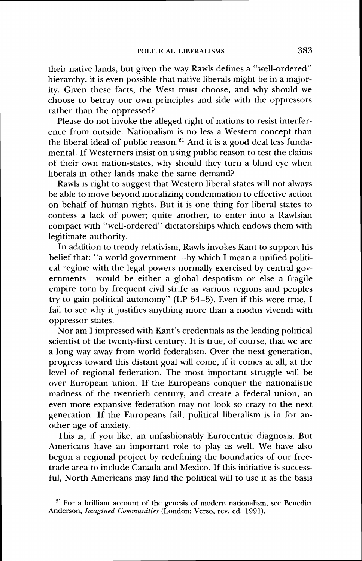their native lands; but given the way Rawls defines a "well-ordered" hierarchy, it is even possible that native liberals might be in a majority. Given these facts, the West must choose, and why should we choose to betray our own principles and side with the oppressors rather than the oppressed?

Please do not invoke the alleged right of nations to resist interference from outside. Nationalism is no less a Western concept than the liberal ideal of public reason.<sup>21</sup> And it is a good deal less fundamental. If Westerners insist on using public reason to test the claims of their own nation-states, why should they turn a blind eye when liberals in other lands make the same demand?

Kawls is right to suggest that Western liberal states will not always be able to move beyond moralizing condemnation to effective action on behalf of human rights. But it is one thing for liberal states to confess a lack of power; quite another, to enter into a Rawlsian compact with "well-ordered" dictatorships which endows them with legitimate authority.

In addition to trendy relativism, Rawls invokes Kant to support his belief that: "a world government-by which I mean a unified political regime with the legal powers normally exercised by central governments-would be either a global despotism or else a fragile empire torn by frequent civil strife as various regions and peoples try to gain political autonomy" (LP 54-5). Even if this were true, I fail to see why it justifies anything more than a modus vivendi with oppressor states.

Nor am I impressed with Kant's credentials as the leading political scientist of the twenty-first century. It is true, of course, that we are a long way away from world federalism. Over the next generation, progress toward this distant goal will come, if it comes at all, at the level of regional federation. The most important struggle will be over European union. If the Europeans conquer the nationalistic madness of the twentieth century, and create a federal union, an even more expansive federation may not look so crazy to the next generation. If the Europeans fail, political liberalism is in for another age of anxiety.

This is, if you like, an unfashionably Eurocentric diagnosis. But Americans have an important role to play as well. We have also begun a regional project by redefining the boundaries of our freetrade area to include Canada and Mexico. If this initiative is successful, North Americans may find the political will to use it as the basis

<sup>&</sup>lt;sup>21</sup> For a brilliant account of the genesis of modern nationalism, see Benedict Anderson, *Imagined Communities* (London: Verso, rev. ed. 1991).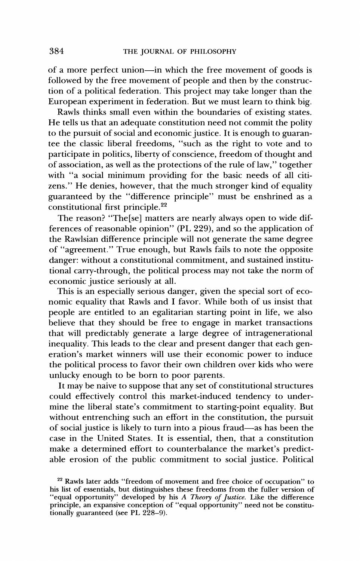of a more perfect union—in which the free movement of goods is followed by the free movement of people and then by the construction of a political federation. This project may take longer than the European experiment in federation. But we must learn to think big.

Rawls thinks small even within the boundaries of existing states. He tells us that an adequate constitution need not commit the polity to the pursuit of social and economic justice. It is enough to guarantee the classic liberal freedoms, "such as the right to vote and to participate in politics, liberty of conscience, freedom of thought and of association, as well as the protections of the rule of law," together with "a social minimum providing for the basic needs of all citizens." He denies, however, that the much stronger kind of equality guaranteed by the "difference principle" must be enshrined as a constitutional first principle.22

The reason? "The[se] matters are nearly always open to wide differences of reasonable opinion" (PL **229),** and so the application of the Rawlsian difference principle will not generate the same degree of "agreement." True enough, but Rawls fails to note the opposite danger: without a constitutional commitment, and sustained institutional carry-through, the political process may not take the norm of economic justice seriously at all.

This is an especially serious danger, given the special sort of economic equality that Rawls and I favor. While both of us insist that people are entitled to an egalitarian starting point in life, we also believe that they should be free to engage in market transactions that will predictably generate a large degree of intragenerational inequality. This leads to the clear and present danger that each generation's market winners will use their economic power to induce the political process to favor their own children over kids who were unlucky enough to be born to poor parents.

It may be naive to suppose that any set of constitutional structures could effectively control this market-induced tendency to undermine the liberal state's commitment to starting-point equality. But without entrenching such an effort in the constitution, the pursuit of social justice is likely to turn into a pious fraud-as has been the case in the United States. It is essential, then, that a constitution make a determined effort to counterbalance the market's predictable erosion of the public commitment to social justice. Political

**<sup>22</sup>**Rawls later adds "freedom of movement and free choice of occupation" to his list of essentials, but distinguishes these freedoms from the fuller version of "equal opportunity" developed by his *A Theory of Justice.* Like the difference principle, an expansive conception of "equal opportunity" need not be constitutionally guaranteed (see PL 228-9).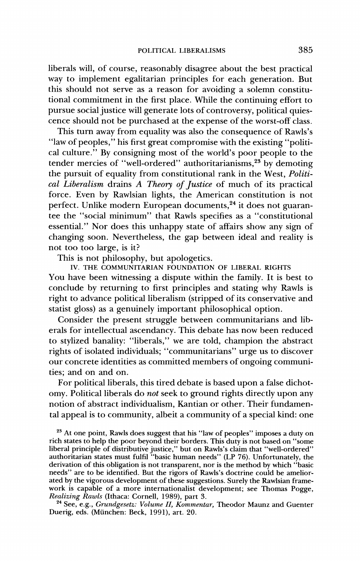liberals will, of course, reasonably disagree about the best practical way to implement egalitarian principles for each generation. But this should not serve as a reason for avoiding a solemn constitutional commitment in the first place. While the continuing effort to pursue social justice will generate lots of controversy, political quiescence should not be purchased at the expense of the worst-off class.

This turn away from equality was also the consequence of Rawls's "law of peoples," his first great compromise with the existing "political culture." By consigning most of the world's poor people to the tender mercies of "well-ordered" authoritarianisms, $2^3$  by demoting the pursuit of equality from constitutional rank in the West, *Political Liberalism* drains *A Theory of Justice* of much of its practical force. Even by Rawlsian lights, the American constitution is not perfect. Unlike modern European documents,<sup>24</sup> it does not guarantee the "social minimum" that Rawls specifies as a "constitutional essential." Nor does this unhappy state of affairs show any sign of changing soon. Nevertheless, the gap between ideal and reality is not too too large, is it?

This is not philosophy, but apologetics.

IV. THE COMMUNITARIAN FOUNDATION OF LIBERAL RIGHTS

You have been witnessing a dispute within the family. It is best to conclude by returning to first principles and stating why Rawls is right to advance political liberalism (stripped of its conservative and statist gloss) as a genuinely important philosophical option.

Consider the present struggle between communitarians and liberals for intellectual ascendancy. This debate has now been reduced to stylized banality: "liberals," we are told, champion the abstract rights of isolated individuals; "communitarians" urge us to discover our concrete identities as committed members of ongoing communities; and on and on.

For political liberals, this tired debate is based upon a false dichotomy. Political liberals do *not* seek to ground rights directly upon any notion of abstract individualism, Kantian or other. Their fundamental appeal is to community, albeit a community of a special kind: one

**<sup>23</sup>**At one point, Rawls does suggest that his "law of peoples" imposes a duty on rich states to help the poor beyond their borders. This duty is not based on "some liberal principle of distributive justice," but on Rawls's claim that "well-ordered" authoritarian states must fulfil "basic human needs" (LP 76). Unfortunately, the derivation of this obligation is not transparent, nor is the method by which "basic needs" are to be identified. But the rigors of Rawls's doctrine could be ameliorated by the vigorous development of these suggestions. Surely the Rawlsian framework is capable of a more internationalist development; see Thomas Pogge, *Realizing Rawls* (Ithaca: Cornell, 1989), part 3.

**<sup>24</sup>**See, e.g., *Grundgesetz: Volume* **11,***Kommentar,* Theodor Maunz and Guenter Duerig, eds. (Miinchen: Beck, 1991), art. 20.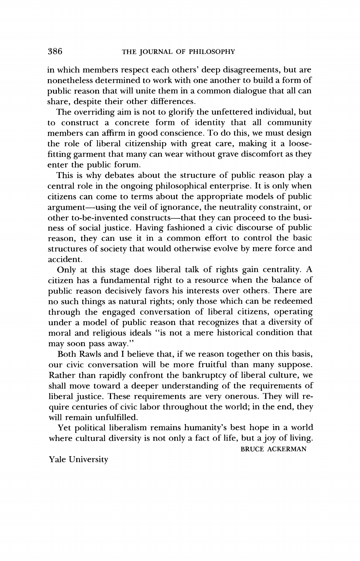in which members respect each others' deep disagreements, but are nonetheless determined to work with one another to build a form of public reason that will unite them in a common dialogue that all can share, despite their other differences.

The overriding aim is not to glorify the unfettered individual, but to construct a concrete form of identity that all community members can affirm in good conscience. To do this, we must design the role of liberal citizenship with great care, making it a loosefitting garment that many can wear without grave discomfort as they enter the public forum.

This is why debates about the structure of public reason play a central role in the ongoing philosophical enterprise. It is only when citizens can come to terms about the appropriate models of public argument-using the veil of ignorance, the neutrality constraint, or other to-be-invented constructs-that they can proceed to the business of social justice. Having fashioned a civic discourse of public reason, they can use it in a common effort to control the basic structures of society that would otherwise evolve by mere force and accident.

Only at this stage does liberal talk of rights gain centrality. A citizen has a fundamental right to a resource when the balance of public reason decisively favors his interests over others. There are no such things as natural rights; only those which can be redeemed through the engaged conversation of liberal citizens, operating under a model of public reason that recognizes that a diversity of moral and religious ideals "is not a mere historical condition that may soon pass away."

Both Rawls and I believe that, if we reason together on this basis, our civic conversation will be more fruitful than many suppose. Rather than rapidly confront the bankruptcy of liberal culture, we shall move toward a deeper understanding of the requirements of liberal justice. These requirements are very onerous. They will require centuries of civic labor throughout the world; in the end, they will remain unfulfilled.

Yet political liberalism remains humanity's best hope in a world where cultural diversity is not only a fact of life, but a joy of living.

**BRUCE ACKERMAN** 

Yale University